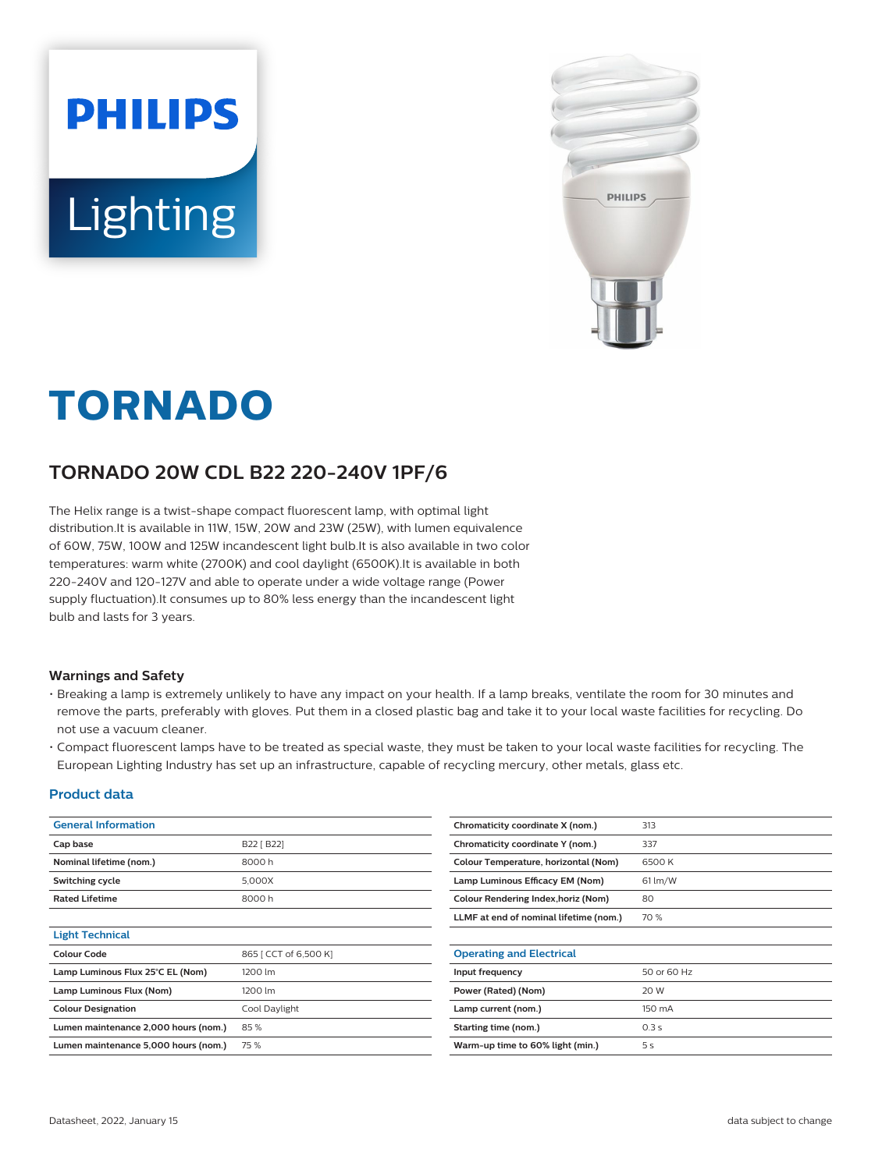



# **TORNADO**

## **TORNADO 20W CDL B22 220-240V 1PF/6**

The Helix range is a twist-shape compact fluorescent lamp, with optimal light distribution.It is available in 11W, 15W, 20W and 23W (25W), with lumen equivalence of 60W, 75W, 100W and 125W incandescent light bulb.It is also available in two color temperatures: warm white (2700K) and cool daylight (6500K).It is available in both 220-240V and 120-127V and able to operate under a wide voltage range (Power supply fluctuation).It consumes up to 80% less energy than the incandescent light bulb and lasts for 3 years.

#### **Warnings and Safety**

- Breaking a lamp is extremely unlikely to have any impact on your health. If a lamp breaks, ventilate the room for 30 minutes and remove the parts, preferably with gloves. Put them in a closed plastic bag and take it to your local waste facilities for recycling. Do not use a vacuum cleaner.
- Compact fluorescent lamps have to be treated as special waste, they must be taken to your local waste facilities for recycling. The European Lighting Industry has set up an infrastructure, capable of recycling mercury, other metals, glass etc.

#### **Product data**

| <b>General Information</b>           |                       | Chromaticity coordinate X (nom.)       | 313         |
|--------------------------------------|-----------------------|----------------------------------------|-------------|
| Cap base                             | B22 [ B22]            | Chromaticity coordinate Y (nom.)       | 337         |
| Nominal lifetime (nom.)              | 8000h                 | Colour Temperature, horizontal (Nom)   | 6500 K      |
| Switching cycle                      | 5,000X                | Lamp Luminous Efficacy EM (Nom)        | $61$ lm/W   |
| <b>Rated Lifetime</b>                | 8000h                 | Colour Rendering Index, horiz (Nom)    | 80          |
|                                      |                       | LLMF at end of nominal lifetime (nom.) | 70 %        |
| <b>Light Technical</b>               |                       |                                        |             |
| <b>Colour Code</b>                   | 865   CCT of 6,500 K] | <b>Operating and Electrical</b>        |             |
| Lamp Luminous Flux 25°C EL (Nom)     | 1200 lm               | Input frequency                        | 50 or 60 Hz |
| Lamp Luminous Flux (Nom)             | 1200 lm               | Power (Rated) (Nom)                    | 20 W        |
| <b>Colour Designation</b>            | Cool Daylight         | Lamp current (nom.)                    | 150 mA      |
| Lumen maintenance 2,000 hours (nom.) | 85%                   | Starting time (nom.)                   | 0.3 s       |
| Lumen maintenance 5,000 hours (nom.) | 75 %                  | Warm-up time to 60% light (min.)       | 5 s         |
|                                      |                       |                                        |             |